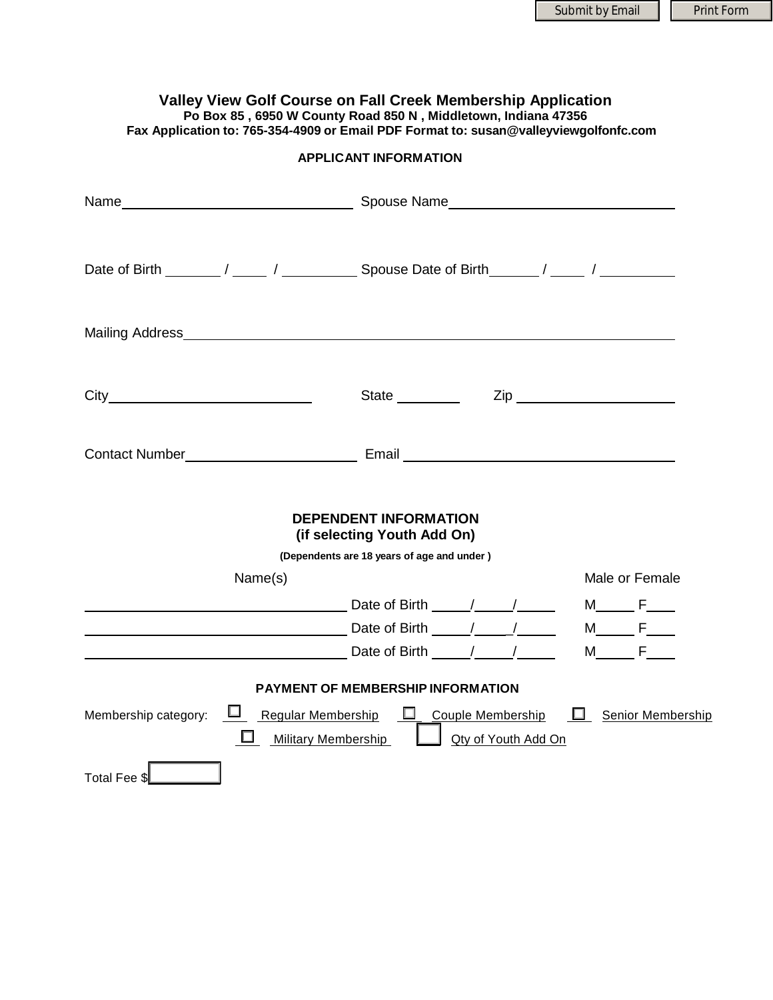## **Valley View Golf Course on Fall Creek Membership Application Po Box 85 , [6950 W County Road 850 N , Middletown, Indiana 47356](https://www.bing.com/maps/default.aspx?v=2&pc=FACEBK&mid=8100&where1=6950+W+County+Road+850+N+%2C+Middletown%2C+Indiana+47356&FORM=FBKPL0&name=Valley+View+Golf+Course+on+Fall+Creek&mkt=en-US) Fax Application to: 765-354-4909 or Email PDF Format to: susan@valleyviewgolfonfc.com**

**APPLICANT INFORMATION**

|                                                                                                                          | State _________                                             | $\mathsf{Zip} \hspace{0.5cm} \square$ |                  |                   |
|--------------------------------------------------------------------------------------------------------------------------|-------------------------------------------------------------|---------------------------------------|------------------|-------------------|
| Contact Number <b>Contact Number Contact Number Contact Number Contact Number Contact Number Contact Act 100 million</b> |                                                             |                                       |                  |                   |
|                                                                                                                          | <b>DEPENDENT INFORMATION</b><br>(if selecting Youth Add On) |                                       |                  |                   |
|                                                                                                                          | (Dependents are 18 years of age and under)                  |                                       |                  |                   |
| Name(s)                                                                                                                  |                                                             |                                       | Male or Female   |                   |
|                                                                                                                          |                                                             |                                       | $M$ $F$ $T$      |                   |
| Date of Birth 1997 / 2008 / 2014 / 2016 / 2017 / 2018 / 2019 / 2019 / 2019 / 2019 / 2019 / 2019 / 201                    |                                                             |                                       | $M$ $F$ $\qquad$ |                   |
|                                                                                                                          |                                                             |                                       | $M \t F$         |                   |
|                                                                                                                          |                                                             |                                       |                  |                   |
|                                                                                                                          | <b>PAYMENT OF MEMBERSHIP INFORMATION</b>                    |                                       |                  |                   |
| Membership category:<br><b>Military Membership</b>                                                                       | $\Box$ Regular Membership $\Box$ Couple Membership          | Qty of Youth Add On                   |                  | Senior Membership |
| Total Fee \$                                                                                                             |                                                             |                                       |                  |                   |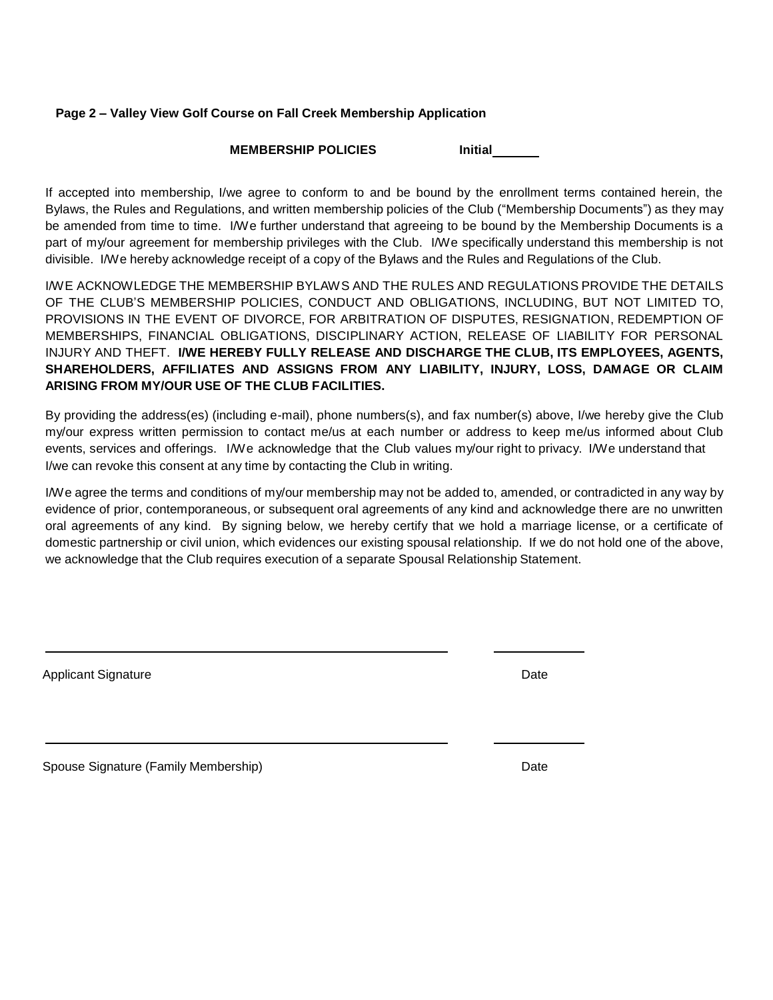## **Page 2 – Valley View Golf Course on Fall Creek Membership Application**

## **MEMBERSHIP POLICIES** Initial

If accepted into membership, I/we agree to conform to and be bound by the enrollment terms contained herein, the Bylaws, the Rules and Regulations, and written membership policies of the Club ("Membership Documents") as they may be amended from time to time. I/We further understand that agreeing to be bound by the Membership Documents is a part of my/our agreement for membership privileges with the Club. I/We specifically understand this membership is not divisible. I/We hereby acknowledge receipt of a copy of the Bylaws and the Rules and Regulations of the Club.

I/WE ACKNOWLEDGE THE MEMBERSHIP BYLAWS AND THE RULES AND REGULATIONS PROVIDE THE DETAILS OF THE CLUB'S MEMBERSHIP POLICIES, CONDUCT AND OBLIGATIONS, INCLUDING, BUT NOT LIMITED TO, PROVISIONS IN THE EVENT OF DIVORCE, FOR ARBITRATION OF DISPUTES, RESIGNATION, REDEMPTION OF MEMBERSHIPS, FINANCIAL OBLIGATIONS, DISCIPLINARY ACTION, RELEASE OF LIABILITY FOR PERSONAL INJURY AND THEFT. **I/WE HEREBY FULLY RELEASE AND DISCHARGE THE CLUB, ITS EMPLOYEES, AGENTS, SHAREHOLDERS, AFFILIATES AND ASSIGNS FROM ANY LIABILITY, INJURY, LOSS, DAMAGE OR CLAIM ARISING FROM MY/OUR USE OF THE CLUB FACILITIES.**

By providing the address(es) (including e-mail), phone numbers(s), and fax number(s) above, I/we hereby give the Club my/our express written permission to contact me/us at each number or address to keep me/us informed about Club events, services and offerings. I/We acknowledge that the Club values my/our right to privacy. I/We understand that I/we can revoke this consent at any time by contacting the Club in writing.

I/We agree the terms and conditions of my/our membership may not be added to, amended, or contradicted in any way by evidence of prior, contemporaneous, or subsequent oral agreements of any kind and acknowledge there are no unwritten oral agreements of any kind. By signing below, we hereby certify that we hold a marriage license, or a certificate of domestic partnership or civil union, which evidences our existing spousal relationship. If we do not hold one of the above, we acknowledge that the Club requires execution of a separate Spousal Relationship Statement.

Applicant Signature Date Date of the Date of the Date of the Date Date Date of the Date of the Date of the Date

Spouse Signature (Family Membership) Date and the Control of the Date of the Date of the Date of the Date of the Date of the Date of the Date of the Date of the Date of the Date of the Date of the Date of the Date of the D